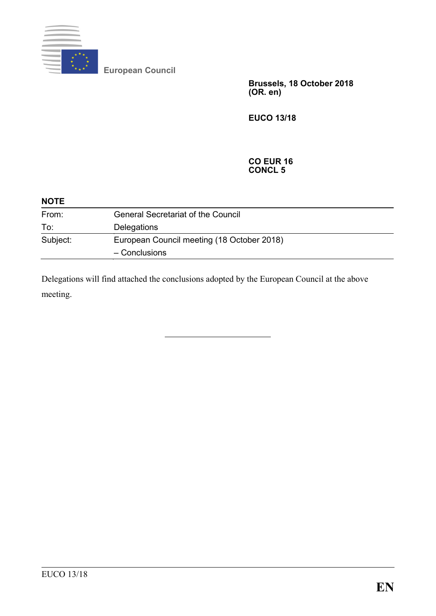

**European Council**

**Brussels, 18 October 2018 (OR. en)**

**EUCO 13/18**

#### **CO EUR 16 CONCL 5**

| <b>NOTE</b> |                                            |
|-------------|--------------------------------------------|
| From:       | <b>General Secretariat of the Council</b>  |
| To:         | Delegations                                |
| Subject:    | European Council meeting (18 October 2018) |
|             | - Conclusions                              |

Delegations will find attached the conclusions adopted by the European Council at the above meeting.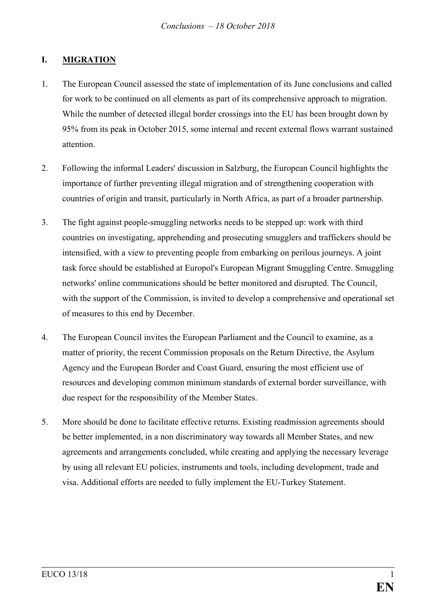## **I. MIGRATION**

- 1. The European Council assessed the state of implementation of its June conclusions and called for work to be continued on all elements as part of its comprehensive approach to migration. While the number of detected illegal border crossings into the EU has been brought down by 95% from its peak in October 2015, some internal and recent external flows warrant sustained attention.
- 2. Following the informal Leaders' discussion in Salzburg, the European Council highlights the importance of further preventing illegal migration and of strengthening cooperation with countries of origin and transit, particularly in North Africa, as part of a broader partnership.
- 3. The fight against people-smuggling networks needs to be stepped up: work with third countries on investigating, apprehending and prosecuting smugglers and traffickers should be intensified, with a view to preventing people from embarking on perilous journeys. A joint task force should be established at Europol's European Migrant Smuggling Centre. Smuggling networks' online communications should be better monitored and disrupted. The Council, with the support of the Commission, is invited to develop a comprehensive and operational set of measures to this end by December.
- 4. The European Council invites the European Parliament and the Council to examine, as a matter of priority, the recent Commission proposals on the Return Directive, the Asylum Agency and the European Border and Coast Guard, ensuring the most efficient use of resources and developing common minimum standards of external border surveillance, with due respect for the responsibility of the Member States.
- 5. More should be done to facilitate effective returns. Existing readmission agreements should be better implemented, in a non discriminatory way towards all Member States, and new agreements and arrangements concluded, while creating and applying the necessary leverage by using all relevant EU policies, instruments and tools, including development, trade and visa. Additional efforts are needed to fully implement the EU-Turkey Statement.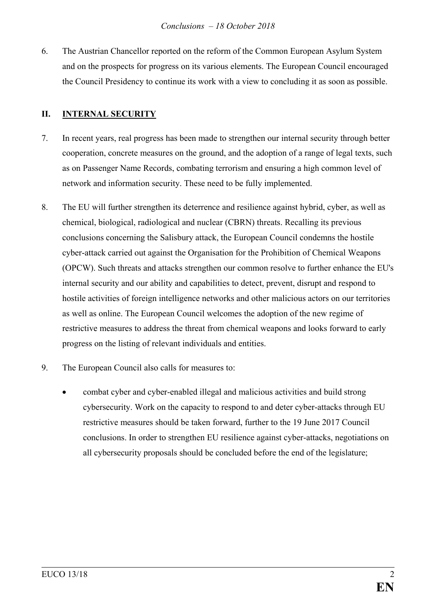6. The Austrian Chancellor reported on the reform of the Common European Asylum System and on the prospects for progress on its various elements. The European Council encouraged the Council Presidency to continue its work with a view to concluding it as soon as possible.

## **II. INTERNAL SECURITY**

- 7. In recent years, real progress has been made to strengthen our internal security through better cooperation, concrete measures on the ground, and the adoption of a range of legal texts, such as on Passenger Name Records, combating terrorism and ensuring a high common level of network and information security. These need to be fully implemented.
- 8. The EU will further strengthen its deterrence and resilience against hybrid, cyber, as well as chemical, biological, radiological and nuclear (CBRN) threats. Recalling its previous conclusions concerning the Salisbury attack, the European Council condemns the hostile cyber-attack carried out against the Organisation for the Prohibition of Chemical Weapons (OPCW). Such threats and attacks strengthen our common resolve to further enhance the EU's internal security and our ability and capabilities to detect, prevent, disrupt and respond to hostile activities of foreign intelligence networks and other malicious actors on our territories as well as online. The European Council welcomes the adoption of the new regime of restrictive measures to address the threat from chemical weapons and looks forward to early progress on the listing of relevant individuals and entities.
- 9. The European Council also calls for measures to:
	- combat cyber and cyber-enabled illegal and malicious activities and build strong cybersecurity. Work on the capacity to respond to and deter cyber-attacks through EU restrictive measures should be taken forward, further to the 19 June 2017 Council conclusions. In order to strengthen EU resilience against cyber-attacks, negotiations on all cybersecurity proposals should be concluded before the end of the legislature;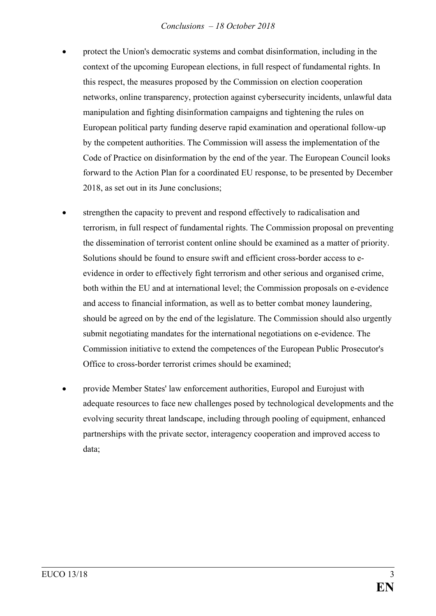#### *Conclusions – 18 October 2018*

- protect the Union's democratic systems and combat disinformation, including in the context of the upcoming European elections, in full respect of fundamental rights. In this respect, the measures proposed by the Commission on election cooperation networks, online transparency, protection against cybersecurity incidents, unlawful data manipulation and fighting disinformation campaigns and tightening the rules on European political party funding deserve rapid examination and operational follow-up by the competent authorities. The Commission will assess the implementation of the Code of Practice on disinformation by the end of the year. The European Council looks forward to the Action Plan for a coordinated EU response, to be presented by December 2018, as set out in its June conclusions;
- strengthen the capacity to prevent and respond effectively to radicalisation and terrorism, in full respect of fundamental rights. The Commission proposal on preventing the dissemination of terrorist content online should be examined as a matter of priority. Solutions should be found to ensure swift and efficient cross-border access to eevidence in order to effectively fight terrorism and other serious and organised crime, both within the EU and at international level; the Commission proposals on e-evidence and access to financial information, as well as to better combat money laundering, should be agreed on by the end of the legislature. The Commission should also urgently submit negotiating mandates for the international negotiations on e-evidence. The Commission initiative to extend the competences of the European Public Prosecutor's Office to cross-border terrorist crimes should be examined;
- provide Member States' law enforcement authorities, Europol and Eurojust with adequate resources to face new challenges posed by technological developments and the evolving security threat landscape, including through pooling of equipment, enhanced partnerships with the private sector, interagency cooperation and improved access to data;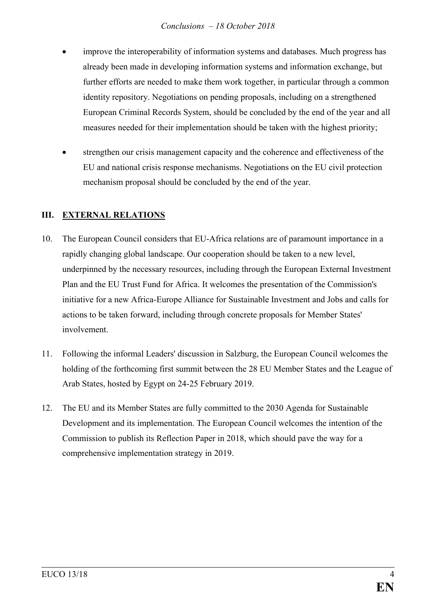- improve the interoperability of information systems and databases. Much progress has already been made in developing information systems and information exchange, but further efforts are needed to make them work together, in particular through a common identity repository. Negotiations on pending proposals, including on a strengthened European Criminal Records System, should be concluded by the end of the year and all measures needed for their implementation should be taken with the highest priority;
- strengthen our crisis management capacity and the coherence and effectiveness of the EU and national crisis response mechanisms. Negotiations on the EU civil protection mechanism proposal should be concluded by the end of the year.

# **III. EXTERNAL RELATIONS**

- 10. The European Council considers that EU-Africa relations are of paramount importance in a rapidly changing global landscape. Our cooperation should be taken to a new level, underpinned by the necessary resources, including through the European External Investment Plan and the EU Trust Fund for Africa. It welcomes the presentation of the Commission's initiative for a new Africa-Europe Alliance for Sustainable Investment and Jobs and calls for actions to be taken forward, including through concrete proposals for Member States' involvement.
- 11. Following the informal Leaders' discussion in Salzburg, the European Council welcomes the holding of the forthcoming first summit between the 28 EU Member States and the League of Arab States, hosted by Egypt on 24-25 February 2019.
- 12. The EU and its Member States are fully committed to the 2030 Agenda for Sustainable Development and its implementation. The European Council welcomes the intention of the Commission to publish its Reflection Paper in 2018, which should pave the way for a comprehensive implementation strategy in 2019.